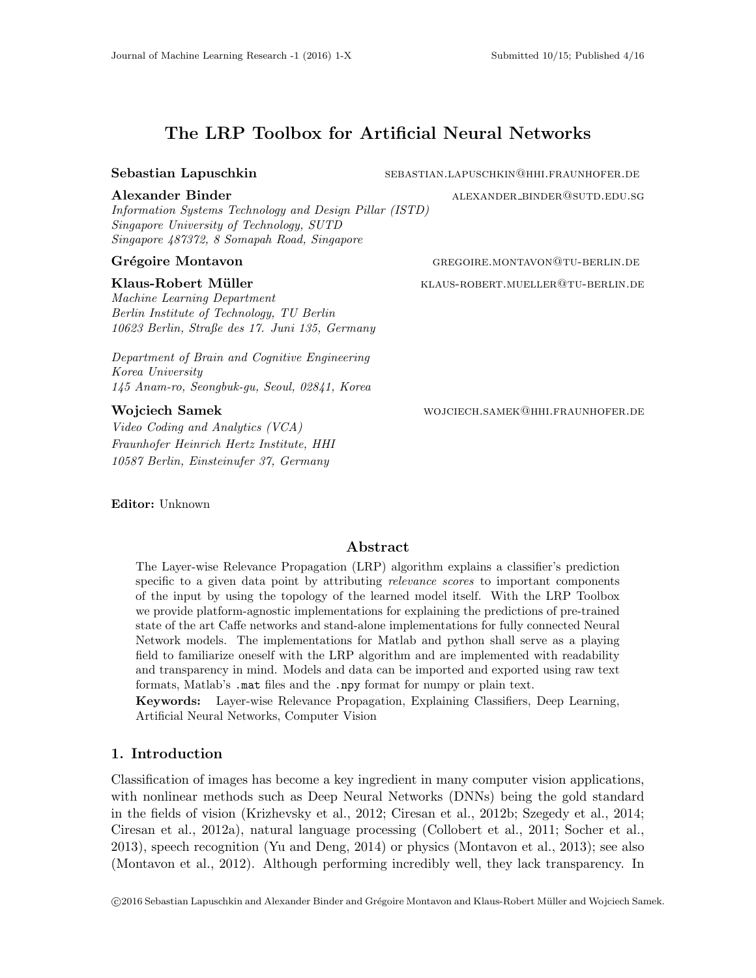# The LRP Toolbox for Artificial Neural Networks

Information Systems Technology and Design Pillar (ISTD) Singapore University of Technology, SUTD Singapore 487372, 8 Somapah Road, Singapore

Machine Learning Department Berlin Institute of Technology, TU Berlin 10623 Berlin, Straße des 17. Juni 135, Germany

Department of Brain and Cognitive Engineering Korea University 145 Anam-ro, Seongbuk-gu, Seoul, 02841, Korea

Video Coding and Analytics (VCA) Fraunhofer Heinrich Hertz Institute, HHI 10587 Berlin, Einsteinufer 37, Germany

Editor: Unknown

Sebastian Lapuschkin sebastian.Lapuschkin sebastian.Lapuschkin@hhi.fraunhofer.de

Alexander Binder and all the state alexander binder alexander binder alexander bunder and all the state and state and state and state and state and state and state and state and state and state and state and state and stat

Grégoire Montavon GREGOIRE.MONTAVON@TU-BERLIN.DE

Klaus-Robert Müller **KLAUS-ROBERT.MUELLER@TU-BERLIN.DE** 

Wojciech Samek **WORD WORD WOON WOON WORD WAS A SAME WOONEY AND SAME IN SAME IN SAME IN SAME IN SAME IN SAME IN** 

## Abstract

The Layer-wise Relevance Propagation (LRP) algorithm explains a classifier's prediction specific to a given data point by attributing *relevance scores* to important components of the input by using the topology of the learned model itself. With the LRP Toolbox we provide platform-agnostic implementations for explaining the predictions of pre-trained state of the art Caffe networks and stand-alone implementations for fully connected Neural Network models. The implementations for Matlab and python shall serve as a playing field to familiarize oneself with the LRP algorithm and are implemented with readability and transparency in mind. Models and data can be imported and exported using raw text formats, Matlab's .mat files and the .npy format for numpy or plain text.

Keywords: Layer-wise Relevance Propagation, Explaining Classifiers, Deep Learning, Artificial Neural Networks, Computer Vision

## 1. Introduction

Classification of images has become a key ingredient in many computer vision applications, with nonlinear methods such as Deep Neural Networks (DNNs) being the gold standard in the fields of vision (Krizhevsky et al., 2012; Ciresan et al., 2012b; Szegedy et al., 2014; Ciresan et al., 2012a), natural language processing (Collobert et al., 2011; Socher et al., 2013), speech recognition (Yu and Deng, 2014) or physics (Montavon et al., 2013); see also (Montavon et al., 2012). Although performing incredibly well, they lack transparency. In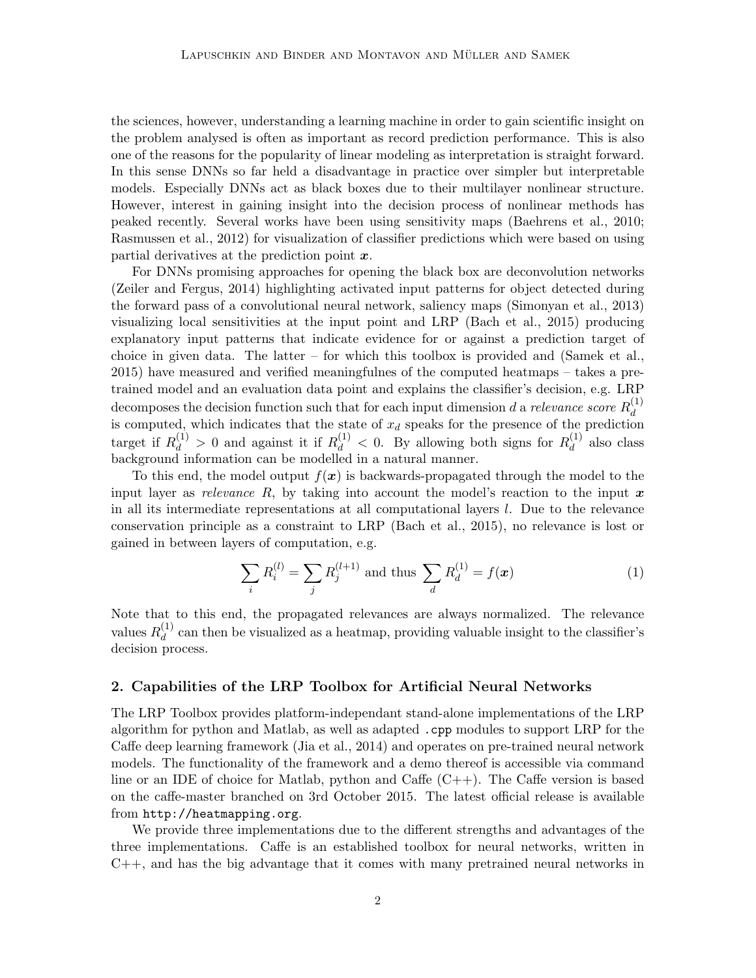the sciences, however, understanding a learning machine in order to gain scientific insight on the problem analysed is often as important as record prediction performance. This is also one of the reasons for the popularity of linear modeling as interpretation is straight forward. In this sense DNNs so far held a disadvantage in practice over simpler but interpretable models. Especially DNNs act as black boxes due to their multilayer nonlinear structure. However, interest in gaining insight into the decision process of nonlinear methods has peaked recently. Several works have been using sensitivity maps (Baehrens et al., 2010; Rasmussen et al., 2012) for visualization of classifier predictions which were based on using partial derivatives at the prediction point  $x$ .

For DNNs promising approaches for opening the black box are deconvolution networks (Zeiler and Fergus, 2014) highlighting activated input patterns for object detected during the forward pass of a convolutional neural network, saliency maps (Simonyan et al., 2013) visualizing local sensitivities at the input point and LRP (Bach et al., 2015) producing explanatory input patterns that indicate evidence for or against a prediction target of choice in given data. The latter – for which this toolbox is provided and (Samek et al., 2015) have measured and verified meaningfulnes of the computed heatmaps – takes a pretrained model and an evaluation data point and explains the classifier's decision, e.g. LRP decomposes the decision function such that for each input dimension d a relevance score  $R_d^{(1)}$ decomposes the decision function such that for each input dimension  $a$  a reterance score  $n_d$  is computed, which indicates that the state of  $x_d$  speaks for the presence of the prediction target if  $R_d^{(1)} > 0$  and against it if  $R_d^{(1)} < 0$ . By allowing both signs for  $R_d^{(1)}$  $\frac{d^{(1)}}{d}$  also class background information can be modelled in a natural manner.

To this end, the model output  $f(x)$  is backwards-propagated through the model to the input layer as relevance R, by taking into account the model's reaction to the input  $x$ in all its intermediate representations at all computational layers l. Due to the relevance conservation principle as a constraint to LRP (Bach et al., 2015), no relevance is lost or gained in between layers of computation, e.g.

$$
\sum_{i} R_i^{(l)} = \sum_{j} R_j^{(l+1)} \text{ and thus } \sum_{d} R_d^{(1)} = f(\boldsymbol{x}) \tag{1}
$$

Note that to this end, the propagated relevances are always normalized. The relevance values  $R_d^{(1)}$  $\frac{d^{(1)}}{d}$  can then be visualized as a heatmap, providing valuable insight to the classifier's decision process.

### 2. Capabilities of the LRP Toolbox for Artificial Neural Networks

The LRP Toolbox provides platform-independant stand-alone implementations of the LRP algorithm for python and Matlab, as well as adapted .cpp modules to support LRP for the Caffe deep learning framework (Jia et al., 2014) and operates on pre-trained neural network models. The functionality of the framework and a demo thereof is accessible via command line or an IDE of choice for Matlab, python and Caffe  $(C++)$ . The Caffe version is based on the caffe-master branched on 3rd October 2015. The latest official release is available from http://heatmapping.org.

We provide three implementations due to the different strengths and advantages of the three implementations. Caffe is an established toolbox for neural networks, written in  $C_{++}$ , and has the big advantage that it comes with many pretrained neural networks in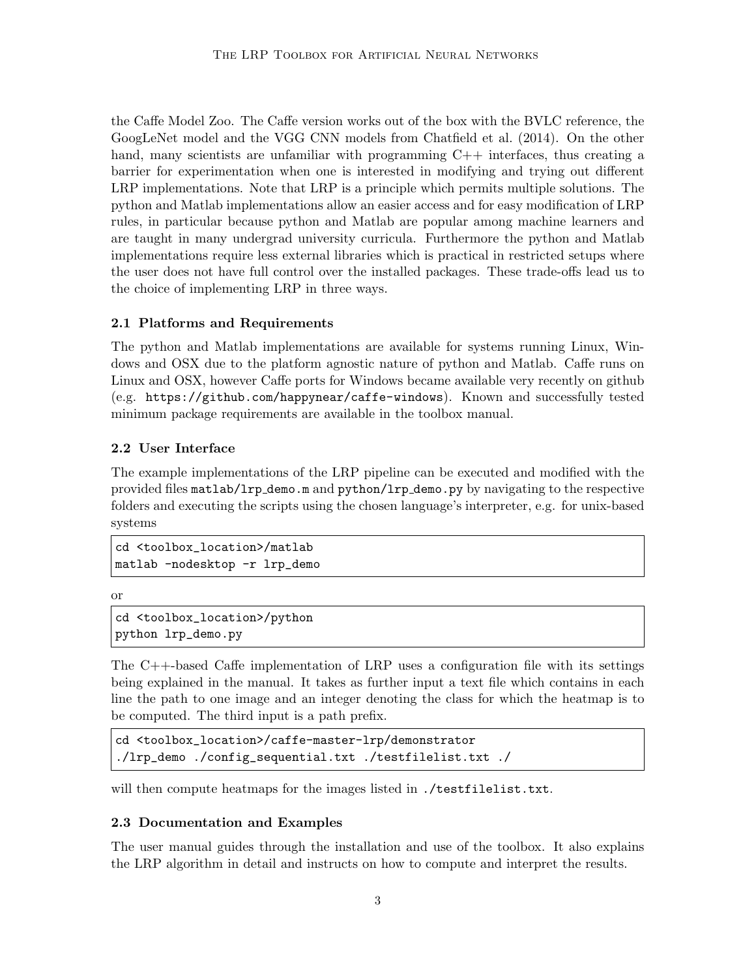the Caffe Model Zoo. The Caffe version works out of the box with the BVLC reference, the GoogLeNet model and the VGG CNN models from Chatfield et al. (2014). On the other hand, many scientists are unfamiliar with programming  $C++$  interfaces, thus creating a barrier for experimentation when one is interested in modifying and trying out different LRP implementations. Note that LRP is a principle which permits multiple solutions. The python and Matlab implementations allow an easier access and for easy modification of LRP rules, in particular because python and Matlab are popular among machine learners and are taught in many undergrad university curricula. Furthermore the python and Matlab implementations require less external libraries which is practical in restricted setups where the user does not have full control over the installed packages. These trade-offs lead us to the choice of implementing LRP in three ways.

## 2.1 Platforms and Requirements

The python and Matlab implementations are available for systems running Linux, Windows and OSX due to the platform agnostic nature of python and Matlab. Caffe runs on Linux and OSX, however Caffe ports for Windows became available very recently on github (e.g. https://github.com/happynear/caffe-windows). Known and successfully tested minimum package requirements are available in the toolbox manual.

## 2.2 User Interface

The example implementations of the LRP pipeline can be executed and modified with the provided files matlab/lrp demo.m and python/lrp demo.py by navigating to the respective folders and executing the scripts using the chosen language's interpreter, e.g. for unix-based systems

```
cd <toolbox_location>/matlab
matlab -nodesktop -r lrp_demo
```
or

```
cd <toolbox_location>/python
python lrp_demo.py
```
The C++-based Caffe implementation of LRP uses a configuration file with its settings being explained in the manual. It takes as further input a text file which contains in each line the path to one image and an integer denoting the class for which the heatmap is to be computed. The third input is a path prefix.

```
cd <toolbox_location>/caffe-master-lrp/demonstrator
./lrp_demo ./config_sequential.txt ./testfilelist.txt ./
```
will then compute heatmaps for the images listed in ./testfilelist.txt.

## 2.3 Documentation and Examples

The user manual guides through the installation and use of the toolbox. It also explains the LRP algorithm in detail and instructs on how to compute and interpret the results.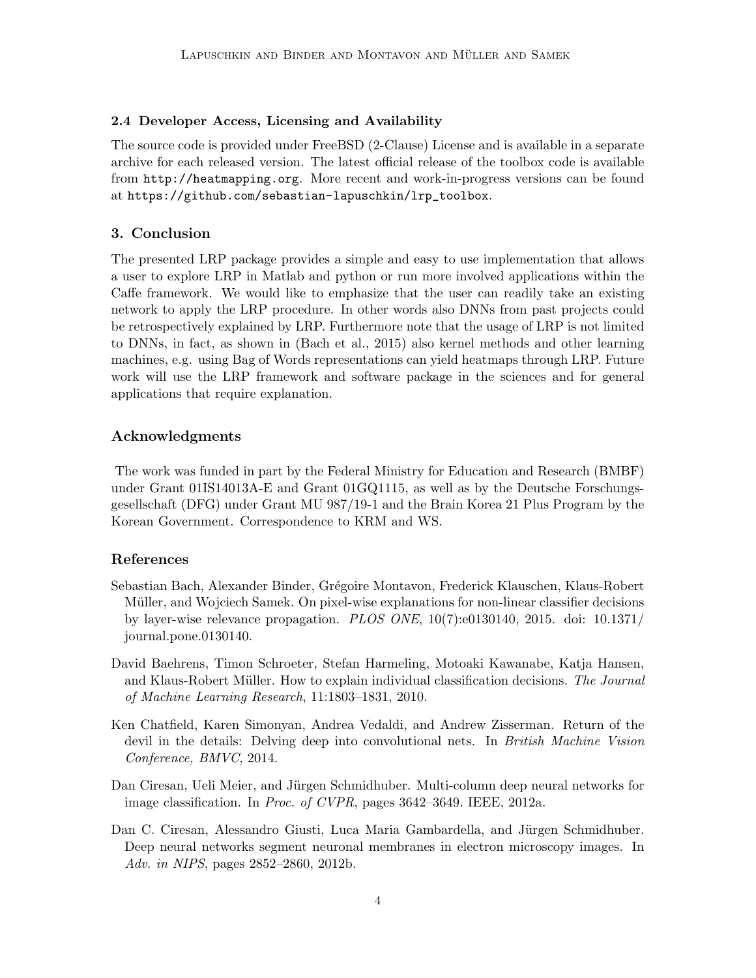## 2.4 Developer Access, Licensing and Availability

The source code is provided under FreeBSD (2-Clause) License and is available in a separate archive for each released version. The latest official release of the toolbox code is available from http://heatmapping.org. More recent and work-in-progress versions can be found at https://github.com/sebastian-lapuschkin/lrp\_toolbox.

### 3. Conclusion

The presented LRP package provides a simple and easy to use implementation that allows a user to explore LRP in Matlab and python or run more involved applications within the Caffe framework. We would like to emphasize that the user can readily take an existing network to apply the LRP procedure. In other words also DNNs from past projects could be retrospectively explained by LRP. Furthermore note that the usage of LRP is not limited to DNNs, in fact, as shown in (Bach et al., 2015) also kernel methods and other learning machines, e.g. using Bag of Words representations can yield heatmaps through LRP. Future work will use the LRP framework and software package in the sciences and for general applications that require explanation.

### Acknowledgments

The work was funded in part by the Federal Ministry for Education and Research (BMBF) under Grant 01IS14013A-E and Grant 01GQ1115, as well as by the Deutsche Forschungsgesellschaft (DFG) under Grant MU 987/19-1 and the Brain Korea 21 Plus Program by the Korean Government. Correspondence to KRM and WS.

### References

- Sebastian Bach, Alexander Binder, Grégoire Montavon, Frederick Klauschen, Klaus-Robert Müller, and Wojciech Samek. On pixel-wise explanations for non-linear classifier decisions by layer-wise relevance propagation. PLOS ONE, 10(7):e0130140, 2015. doi: 10.1371/ journal.pone.0130140.
- David Baehrens, Timon Schroeter, Stefan Harmeling, Motoaki Kawanabe, Katja Hansen, and Klaus-Robert Müller. How to explain individual classification decisions. The Journal of Machine Learning Research, 11:1803–1831, 2010.
- Ken Chatfield, Karen Simonyan, Andrea Vedaldi, and Andrew Zisserman. Return of the devil in the details: Delving deep into convolutional nets. In British Machine Vision Conference, BMVC, 2014.
- Dan Ciresan, Ueli Meier, and Jürgen Schmidhuber. Multi-column deep neural networks for image classification. In Proc. of CVPR, pages 3642–3649. IEEE, 2012a.
- Dan C. Ciresan, Alessandro Giusti, Luca Maria Gambardella, and Jürgen Schmidhuber. Deep neural networks segment neuronal membranes in electron microscopy images. In Adv. in NIPS, pages 2852–2860, 2012b.